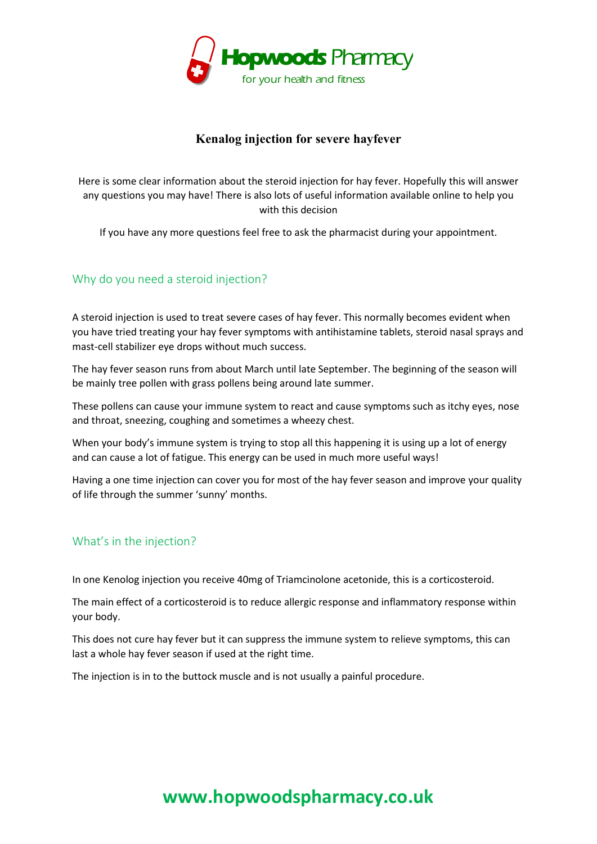

# **Kenalog injection for severe hayfever**

Here is some clear information about the steroid injection for hay fever. Hopefully this will answer any questions you may have! There is also lots of useful information available online to help you with this decision

If you have any more questions feel free to ask the pharmacist during your appointment.

# Why do you need a steroid injection?

**Example 12**<br> **Example 12**<br> **We conside that the state of the state of the state of the state of the state of the state of the state of the state of the state of the state of the state of the state of the state of the stat** A steroid injection is used to treat severe cases of hay fever. This normally becomes evident when you have tried treating your hay fever symptoms with antihistamine tablets, steroid nasal sprays and mast-cell stabilizer eye drops without much success.

The hay fever season runs from about March until late September. The beginning of the season will be mainly tree pollen with grass pollens being around late summer.

These pollens can cause your immune system to react and cause symptoms such as itchy eyes, nose and throat, sneezing, coughing and sometimes a wheezy chest.

When your body's immune system is trying to stop all this happening it is using up a lot of energy and can cause a lot of fatigue. This energy can be used in much more useful ways!

Having a one time injection can cover you for most of the hay fever season and improve your quality of life through the summer 'sunny' months.

# What's in the injection?

In one Kenolog injection you receive 40mg of Triamcinolone acetonide, this is a corticosteroid.

The main effect of a corticosteroid is to reduce allergic response and inflammatory response within your body.

This does not cure hay fever but it can suppress the immune system to relieve symptoms, this can last a whole hay fever season if used at the right time.

The injection is in to the buttock muscle and is not usually a painful procedure.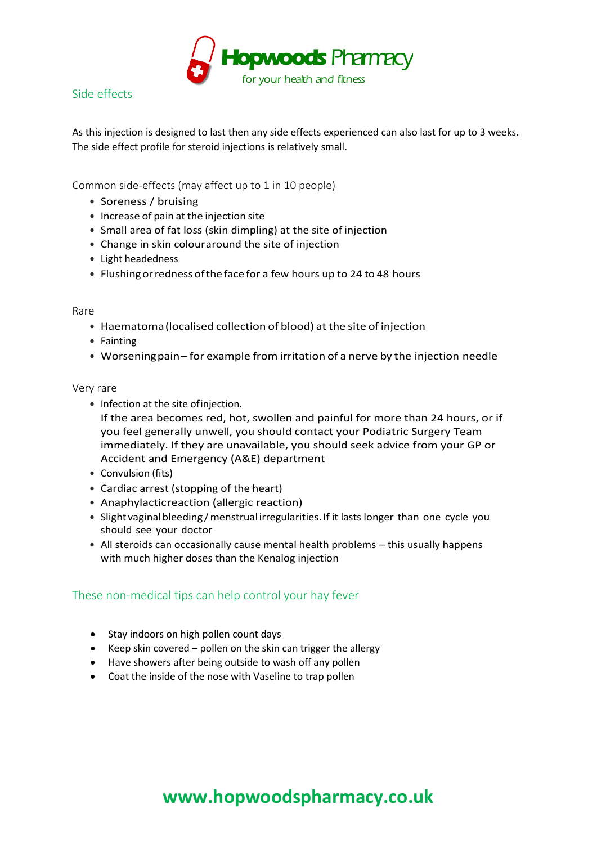

# Side effects

As this injection is designed to last then any side effects experienced can also last for up to 3 weeks. The side effect profile for steroid injections is relatively small.

Common side-effects (may affect up to 1 in 10 people)

- **•** Soreness / bruising
- **•** Increase of pain at the injection site
- **•** Small area of fat loss (skin dimpling) at the site of injection
- **•** Change in skin colouraround the site of injection
- **•** Light headedness
- **•** Flushingorrednessofthe face for a few hours up to 24 to 48 hours

### Rare

- **•** Haematoma(localised collection of blood) at the site of injection
- **•** Fainting
- **•** Worseningpain– for example from irritation of a nerve by the injection needle

### Very rare

**•** Infection at the site ofinjection.

**Example 10**<br> **Example 10**<br> **Example 10**<br> **Example 10**<br> **Example 10**<br> **Example 10**<br> **Example 10**<br> **Example 10**<br> **Example 10**<br> **Example 10**<br> **Example 10**<br> **Example 10**<br> **Example 10**<br> **Example 10**<br> **Example 10**<br> **Example 10** If the area becomes red, hot, swollen and painful for more than 24 hours, or if you feel generally unwell, you should contact your Podiatric Surgery Team immediately. If they are unavailable, you should seek advice from your GP or Accident and Emergency (A&E) department

- **•** Convulsion (fits)
- **•** Cardiac arrest (stopping of the heart)
- Anaphylactic reaction (allergic reaction)
- **•** Slight vaginalbleeding /menstrual irregularities.If it lasts longer than one cycle you should see your doctor
- **•** All steroids can occasionally cause mental health problems this usually happens with much higher doses than the Kenalog injection

## These non-medical tips can help control your hay fever

- Stay indoors on high pollen count days
- Keep skin covered pollen on the skin can trigger the allergy
- Have showers after being outside to wash off any pollen
- Coat the inside of the nose with Vaseline to trap pollen